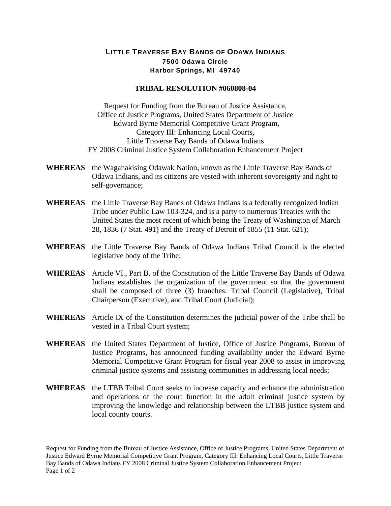## LITTLE TRAVERSE BAY BANDS OF ODAWA INDIANS 7500 Odawa Circle Harbor Springs, MI 49740

## **TRIBAL RESOLUTION #060808-04**

Request for Funding from the Bureau of Justice Assistance, Office of Justice Programs, United States Department of Justice Edward Byrne Memorial Competitive Grant Program, Category III: Enhancing Local Courts, Little Traverse Bay Bands of Odawa Indians FY 2008 Criminal Justice System Collaboration Enhancement Project

- **WHEREAS** the Waganakising Odawak Nation, known as the Little Traverse Bay Bands of Odawa Indians, and its citizens are vested with inherent sovereignty and right to self-governance;
- **WHEREAS** the Little Traverse Bay Bands of Odawa Indians is a federally recognized Indian Tribe under Public Law 103-324, and is a party to numerous Treaties with the United States the most recent of which being the Treaty of Washington of March 28, 1836 (7 Stat. 491) and the Treaty of Detroit of 1855 (11 Stat. 621);
- **WHEREAS** the Little Traverse Bay Bands of Odawa Indians Tribal Council is the elected legislative body of the Tribe;
- **WHEREAS** Article VI., Part B. of the Constitution of the Little Traverse Bay Bands of Odawa Indians establishes the organization of the government so that the government shall be composed of three (3) branches: Tribal Council (Legislative), Tribal Chairperson (Executive), and Tribal Court (Judicial);
- **WHEREAS** Article IX of the Constitution determines the judicial power of the Tribe shall be vested in a Tribal Court system;
- **WHEREAS** the United States Department of Justice, Office of Justice Programs, Bureau of Justice Programs, has announced funding availability under the Edward Byrne Memorial Competitive Grant Program for fiscal year 2008 to assist in improving criminal justice systems and assisting communities in addressing local needs;
- **WHEREAS** the LTBB Tribal Court seeks to increase capacity and enhance the administration and operations of the court function in the adult criminal justice system by improving the knowledge and relationship between the LTBB justice system and local county courts.

Request for Funding from the Bureau of Justice Assistance, Office of Justice Programs, United States Department of Justice Edward Byrne Memorial Competitive Grant Program, Category III: Enhancing Local Courts, Little Traverse Bay Bands of Odawa Indians FY 2008 Criminal Justice System Collaboration Enhancement Project Page 1 of 2